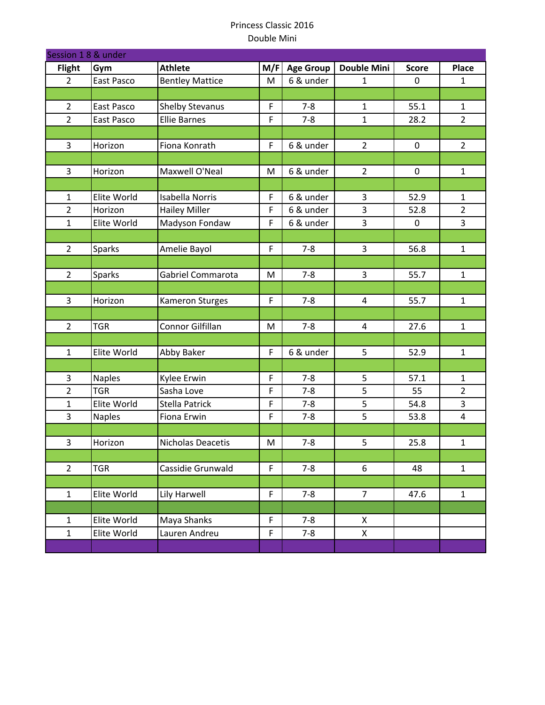| Session 1 8 & under |               |                        |             |                  |                         |              |                |  |  |
|---------------------|---------------|------------------------|-------------|------------------|-------------------------|--------------|----------------|--|--|
| <b>Flight</b>       | Gym           | <b>Athlete</b>         | M/F         | <b>Age Group</b> | <b>Double Mini</b>      | <b>Score</b> | Place          |  |  |
| $\overline{2}$      | East Pasco    | <b>Bentley Mattice</b> | M           | 6 & under        | 1                       | $\mathbf 0$  | $\mathbf{1}$   |  |  |
|                     |               |                        |             |                  |                         |              |                |  |  |
| $\overline{2}$      | East Pasco    | Shelby Stevanus        | F           | $7 - 8$          | $\mathbf{1}$            | 55.1         | $\mathbf{1}$   |  |  |
| $\overline{2}$      | East Pasco    | <b>Ellie Barnes</b>    | F           | $7 - 8$          | $\mathbf{1}$            | 28.2         | $\overline{2}$ |  |  |
|                     |               |                        |             |                  |                         |              |                |  |  |
| 3                   | Horizon       | Fiona Konrath          | $\mathsf F$ | 6 & under        | $\overline{2}$          | $\mathbf 0$  | $\overline{2}$ |  |  |
|                     |               |                        |             |                  |                         |              |                |  |  |
| $\mathbf{3}$        | Horizon       | Maxwell O'Neal         | M           | 6 & under        | $\overline{2}$          | $\pmb{0}$    | $\mathbf 1$    |  |  |
|                     |               |                        |             |                  |                         |              |                |  |  |
| $\mathbf{1}$        | Elite World   | <b>Isabella Norris</b> | $\mathsf F$ | 6 & under        | 3                       | 52.9         | 1              |  |  |
| $\overline{2}$      | Horizon       | <b>Hailey Miller</b>   | $\mathsf F$ | 6 & under        | $\overline{\mathbf{3}}$ | 52.8         | $\overline{2}$ |  |  |
| $\mathbf{1}$        | Elite World   | Madyson Fondaw         | $\mathsf F$ | 6 & under        | 3                       | $\pmb{0}$    | 3              |  |  |
|                     |               |                        |             |                  |                         |              |                |  |  |
| $\overline{2}$      | <b>Sparks</b> | Amelie Bayol           | $\mathsf F$ | $7 - 8$          | 3                       | 56.8         | $\mathbf{1}$   |  |  |
|                     |               |                        |             |                  |                         |              |                |  |  |
| $\overline{2}$      | Sparks        | Gabriel Commarota      | M           | $7 - 8$          | 3                       | 55.7         | $\mathbf{1}$   |  |  |
|                     |               |                        |             |                  |                         |              |                |  |  |
| $\overline{3}$      | Horizon       | Kameron Sturges        | $\mathsf F$ | $7 - 8$          | $\overline{4}$          | 55.7         | $\mathbf{1}$   |  |  |
|                     |               |                        |             |                  |                         |              |                |  |  |
| $\overline{2}$      | <b>TGR</b>    | Connor Gilfillan       | M           | $7 - 8$          | $\overline{4}$          | 27.6         | $\mathbf 1$    |  |  |
|                     |               |                        |             |                  |                         |              |                |  |  |
| $\mathbf{1}$        | Elite World   | <b>Abby Baker</b>      | F           | 6 & under        | 5                       | 52.9         | $\mathbf{1}$   |  |  |
|                     |               |                        |             |                  |                         |              |                |  |  |
| 3                   | <b>Naples</b> | Kylee Erwin            | $\mathsf F$ | $7 - 8$          | 5                       | 57.1         | $\mathbf{1}$   |  |  |
| $\overline{2}$      | <b>TGR</b>    | Sasha Love             | $\mathsf F$ | $7 - 8$          | 5                       | 55           | $\overline{2}$ |  |  |
| $\mathbf 1$         | Elite World   | <b>Stella Patrick</b>  | F           | $7 - 8$          | 5                       | 54.8         | 3              |  |  |
| $\overline{3}$      | <b>Naples</b> | Fiona Erwin            | $\mathsf F$ | $7 - 8$          | 5                       | 53.8         | $\overline{4}$ |  |  |
|                     |               |                        |             |                  |                         |              |                |  |  |
| 3                   | Horizon       | Nicholas Deacetis      | M           | $7 - 8$          | 5                       | 25.8         | $\mathbf{1}$   |  |  |
|                     |               |                        |             |                  |                         |              |                |  |  |
| $\overline{2}$      | <b>TGR</b>    | Cassidie Grunwald      | $\mathsf F$ | $7 - 8$          | 6                       | 48           | $\mathbf{1}$   |  |  |
|                     |               |                        |             |                  |                         |              |                |  |  |
| $\mathbf{1}$        | Elite World   | Lily Harwell           | F           | $7 - 8$          | $\overline{7}$          | 47.6         | $\mathbf{1}$   |  |  |
|                     |               |                        |             |                  |                         |              |                |  |  |
| $\mathbf{1}$        | Elite World   | Maya Shanks            | F           | $7 - 8$          | X                       |              |                |  |  |
| $\mathbf{1}$        | Elite World   | Lauren Andreu          | F           | $7 - 8$          | X                       |              |                |  |  |
|                     |               |                        |             |                  |                         |              |                |  |  |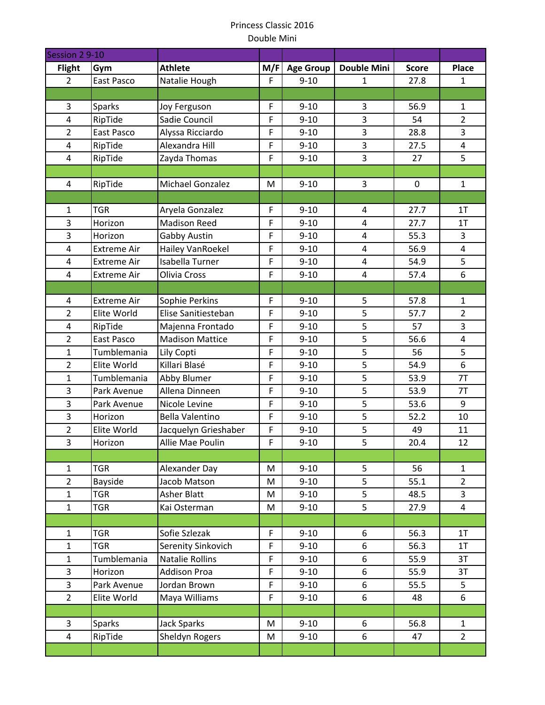| Session 2 9-10          |                    |                        |             |                  |                         |              |                         |
|-------------------------|--------------------|------------------------|-------------|------------------|-------------------------|--------------|-------------------------|
| <b>Flight</b>           | Gym                | <b>Athlete</b>         | M/F         | <b>Age Group</b> | <b>Double Mini</b>      | <b>Score</b> | Place                   |
| $\overline{2}$          | East Pasco         | Natalie Hough          | F           | $9 - 10$         | 1                       | 27.8         | $\mathbf{1}$            |
|                         |                    |                        |             |                  |                         |              |                         |
| 3                       | <b>Sparks</b>      | Joy Ferguson           | $\mathsf F$ | $9 - 10$         | 3                       | 56.9         | $\mathbf{1}$            |
| 4                       | RipTide            | Sadie Council          | $\mathsf F$ | $9 - 10$         | 3                       | 54           | $\overline{2}$          |
| $\overline{2}$          | East Pasco         | Alyssa Ricciardo       | $\mathsf F$ | $9 - 10$         | 3                       | 28.8         | $\overline{3}$          |
| 4                       | RipTide            | Alexandra Hill         | F           | $9 - 10$         | 3                       | 27.5         | $\overline{\mathbf{4}}$ |
| 4                       | RipTide            | Zayda Thomas           | $\mathsf F$ | $9 - 10$         | 3                       | 27           | 5                       |
|                         |                    |                        |             |                  |                         |              |                         |
| 4                       | RipTide            | Michael Gonzalez       | M           | $9 - 10$         | 3                       | $\pmb{0}$    | $\mathbf{1}$            |
|                         |                    |                        |             |                  |                         |              |                         |
| 1                       | <b>TGR</b>         | Aryela Gonzalez        | F           | $9 - 10$         | 4                       | 27.7         | 1T                      |
| 3                       | Horizon            | <b>Madison Reed</b>    | $\mathsf F$ | $9 - 10$         | 4                       | 27.7         | 1T                      |
| 3                       | Horizon            | Gabby Austin           | F           | $9 - 10$         | $\overline{\mathbf{4}}$ | 55.3         | $\overline{3}$          |
| 4                       | <b>Extreme Air</b> | Hailey VanRoekel       | $\mathsf F$ | $9 - 10$         | 4                       | 56.9         | $\overline{4}$          |
| 4                       | <b>Extreme Air</b> | Isabella Turner        | $\mathsf F$ | $9 - 10$         | 4                       | 54.9         | 5                       |
| 4                       | <b>Extreme Air</b> | Olivia Cross           | $\mathsf F$ | $9 - 10$         | $\overline{4}$          | 57.4         | 6                       |
|                         |                    |                        |             |                  |                         |              |                         |
| 4                       | <b>Extreme Air</b> | Sophie Perkins         | $\mathsf F$ | $9 - 10$         | 5                       | 57.8         | $\mathbf{1}$            |
| $\overline{2}$          | Elite World        | Elise Sanitiesteban    | $\mathsf F$ | $9 - 10$         | 5                       | 57.7         | $\overline{2}$          |
| 4                       | RipTide            | Majenna Frontado       | F           | $9 - 10$         | 5                       | 57           | 3                       |
| $\overline{2}$          | East Pasco         | <b>Madison Mattice</b> | $\mathsf F$ | $9 - 10$         | 5                       | 56.6         | $\overline{4}$          |
| $\mathbf{1}$            | Tumblemania        | Lily Copti             | F           | $9 - 10$         | 5                       | 56           | 5                       |
| $\overline{2}$          | Elite World        | Killari Blasé          | $\mathsf F$ | $9 - 10$         | 5                       | 54.9         | 6                       |
| $\mathbf{1}$            | Tumblemania        | Abby Blumer            | $\mathsf F$ | $9 - 10$         | $\overline{5}$          | 53.9         | 7T                      |
| 3                       | Park Avenue        | Allena Dinneen         | F           | $9 - 10$         | 5                       | 53.9         | 7T                      |
| 3                       | Park Avenue        | Nicole Levine          | $\mathsf F$ | $9 - 10$         | 5                       | 53.6         | 9                       |
| 3                       | Horizon            | <b>Bella Valentino</b> | F           | $9 - 10$         | 5                       | 52.2         | 10                      |
| $\overline{2}$          | Elite World        | Jacquelyn Grieshaber   | $\mathsf F$ | $9 - 10$         | 5                       | 49           | 11                      |
| 3                       | Horizon            | Allie Mae Poulin       | F           | $9 - 10$         | 5                       | 20.4         | 12                      |
|                         |                    |                        |             |                  |                         |              |                         |
| $\mathbf{1}$            | <b>TGR</b>         | Alexander Day          | M           | $9 - 10$         | 5                       | 56           | $\mathbf{1}$            |
| $\overline{2}$          | Bayside            | Jacob Matson           | M           | $9 - 10$         | 5                       | 55.1         | $\overline{2}$          |
| $\mathbf{1}$            | <b>TGR</b>         | <b>Asher Blatt</b>     | M           | $9 - 10$         | 5                       | 48.5         | 3                       |
| $\mathbf{1}$            | <b>TGR</b>         | Kai Osterman           | M           | $9 - 10$         | 5                       | 27.9         | $\overline{4}$          |
|                         |                    |                        |             |                  |                         |              |                         |
| $\mathbf{1}$            | <b>TGR</b>         | Sofie Szlezak          | F           | $9 - 10$         | 6                       | 56.3         | 1T                      |
| $\mathbf{1}$            | <b>TGR</b>         | Serenity Sinkovich     | $\mathsf F$ | $9 - 10$         | 6                       | 56.3         | 1T                      |
| $\mathbf{1}$            | Tumblemania        | <b>Natalie Rollins</b> | $\mathsf F$ | $9 - 10$         | 6                       | 55.9         | 3T                      |
| 3                       | Horizon            | <b>Addison Proa</b>    | F           | $9 - 10$         | 6                       | 55.9         | 3T                      |
| $\overline{3}$          | Park Avenue        | Jordan Brown           | $\mathsf F$ | $9 - 10$         | 6                       | 55.5         | 5                       |
| $\overline{2}$          | Elite World        | Maya Williams          | $\mathsf F$ | $9 - 10$         | 6                       | 48           | 6                       |
|                         |                    |                        |             |                  |                         |              |                         |
| 3                       | Sparks             | <b>Jack Sparks</b>     | M           | $9 - 10$         | 6                       | 56.8         | $\mathbf{1}$            |
| $\overline{\mathbf{4}}$ | RipTide            | Sheldyn Rogers         | M           | $9 - 10$         | 6                       | 47           | $\overline{2}$          |
|                         |                    |                        |             |                  |                         |              |                         |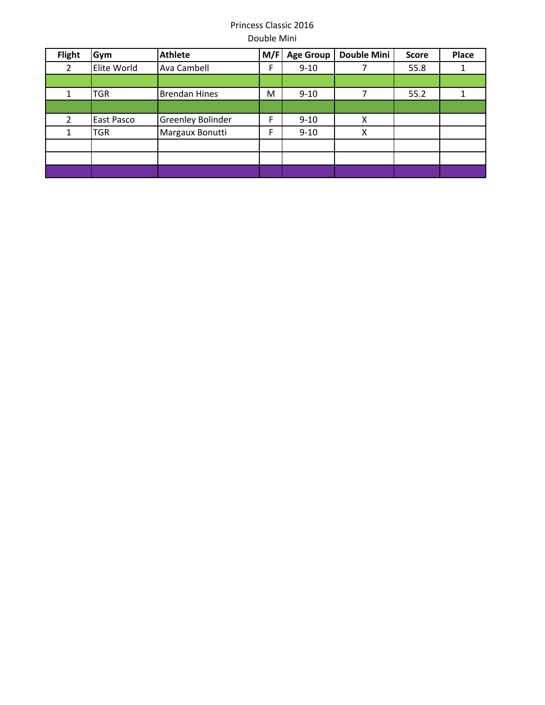| <b>Flight</b>  | Gym         | <b>Athlete</b>       | M/F | <b>Age Group</b> | <b>Double Mini</b> | <b>Score</b> | Place |
|----------------|-------------|----------------------|-----|------------------|--------------------|--------------|-------|
| 2              | Elite World | Ava Cambell          | F   | $9 - 10$         |                    | 55.8         |       |
|                |             |                      |     |                  |                    |              |       |
|                | TGR         | <b>Brendan Hines</b> | M   | $9 - 10$         |                    | 55.2         |       |
|                |             |                      |     |                  |                    |              |       |
| $\overline{2}$ | East Pasco  | Greenley Bolinder    | F   | $9 - 10$         | X                  |              |       |
|                | TGR         | Margaux Bonutti      | F   | $9 - 10$         | Χ                  |              |       |
|                |             |                      |     |                  |                    |              |       |
|                |             |                      |     |                  |                    |              |       |
|                |             |                      |     |                  |                    |              |       |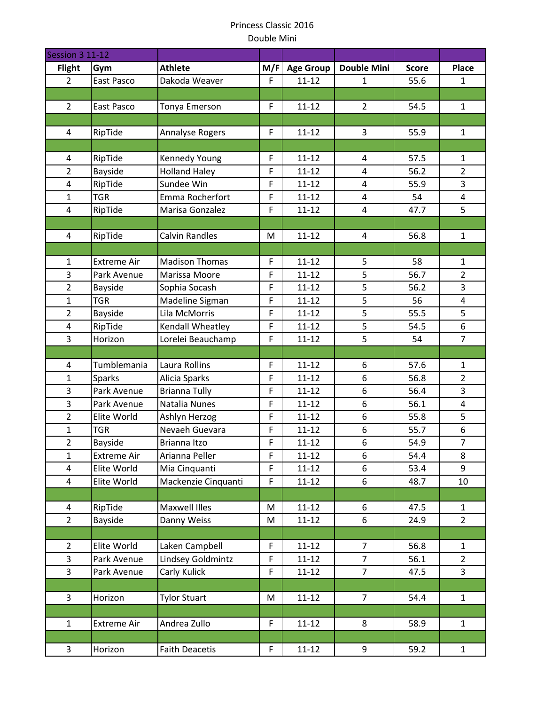| Session 3 11-12                |                    |                                       |                            |                        |                         |              |                         |
|--------------------------------|--------------------|---------------------------------------|----------------------------|------------------------|-------------------------|--------------|-------------------------|
| <b>Flight</b>                  | Gym                | <b>Athlete</b>                        | M/F                        | <b>Age Group</b>       | <b>Double Mini</b>      | <b>Score</b> | Place                   |
| $\overline{2}$                 | East Pasco         | Dakoda Weaver                         | F                          | $11 - 12$              | $\mathbf{1}$            | 55.6         | $\mathbf{1}$            |
|                                |                    |                                       |                            |                        |                         |              |                         |
| $\overline{2}$                 | East Pasco         | Tonya Emerson                         | $\mathsf F$                | $11 - 12$              | $\overline{2}$          | 54.5         | $\mathbf{1}$            |
|                                |                    |                                       |                            |                        |                         |              |                         |
| 4                              | RipTide            | <b>Annalyse Rogers</b>                | $\mathsf F$                | $11 - 12$              | 3                       | 55.9         | $\mathbf{1}$            |
|                                |                    |                                       |                            |                        |                         |              |                         |
| 4                              | RipTide            | Kennedy Young                         | $\mathsf F$                | $11 - 12$              | 4                       | 57.5         | $\mathbf{1}$            |
| $\overline{2}$                 | Bayside            | <b>Holland Haley</b>                  | F                          | $11 - 12$              | $\overline{\mathbf{4}}$ | 56.2         | $\overline{2}$          |
| 4                              | RipTide            | Sundee Win                            | $\mathsf F$                | $11 - 12$              | 4                       | 55.9         | 3                       |
| $\mathbf{1}$                   | <b>TGR</b>         | Emma Rocherfort                       | $\mathsf F$                | $11 - 12$              | 4                       | 54           | $\overline{4}$          |
| 4                              | RipTide            | Marisa Gonzalez                       | F                          | $11 - 12$              | 4                       | 47.7         | 5                       |
|                                |                    |                                       |                            |                        |                         |              |                         |
| 4                              | RipTide            | <b>Calvin Randles</b>                 | M                          | $11 - 12$              | 4                       | 56.8         | $\mathbf{1}$            |
|                                |                    |                                       |                            |                        |                         |              |                         |
| $\mathbf{1}$                   | <b>Extreme Air</b> | <b>Madison Thomas</b>                 | $\mathsf F$                | $11 - 12$              | 5                       | 58           | $\mathbf{1}$            |
| 3                              | Park Avenue        | Marissa Moore                         | F                          | $11 - 12$              | 5                       | 56.7         | $\overline{2}$          |
| $\overline{2}$                 | Bayside            | Sophia Socash                         | F                          | $11 - 12$              | 5<br>5                  | 56.2         | 3                       |
| $\mathbf{1}$<br>$\overline{2}$ | <b>TGR</b>         | Madeline Sigman<br>Lila McMorris      | $\mathsf F$<br>$\mathsf F$ | $11 - 12$<br>$11 - 12$ | $\overline{5}$          | 56<br>55.5   | 4<br>5                  |
|                                | Bayside            |                                       | $\mathsf F$                | $11 - 12$              | 5                       | 54.5         | 6                       |
| 4<br>$\overline{3}$            | RipTide<br>Horizon | Kendall Wheatley<br>Lorelei Beauchamp | $\mathsf F$                | $11 - 12$              | 5                       | 54           | $\overline{7}$          |
|                                |                    |                                       |                            |                        |                         |              |                         |
| 4                              | Tumblemania        | Laura Rollins                         | F                          | $11 - 12$              | 6                       | 57.6         | 1                       |
| $\mathbf{1}$                   | Sparks             | Alicia Sparks                         | $\mathsf F$                | $11 - 12$              | 6                       | 56.8         | $\overline{2}$          |
| 3                              | Park Avenue        | <b>Brianna Tully</b>                  | $\mathsf F$                | $11 - 12$              | 6                       | 56.4         | 3                       |
| 3                              | Park Avenue        | Natalia Nunes                         | $\mathsf F$                | $11 - 12$              | 6                       | 56.1         | $\overline{\mathbf{4}}$ |
| $\overline{2}$                 | Elite World        | Ashlyn Herzog                         | F                          | $11 - 12$              | 6                       | 55.8         | 5                       |
| $\mathbf{1}$                   | <b>TGR</b>         | Nevaeh Guevara                        | F                          | $11 - 12$              | 6                       | 55.7         | 6                       |
| $\overline{2}$                 | <b>Bayside</b>     | Brianna Itzo                          | F                          | $11 - 12$              | 6                       | 54.9         | $\overline{7}$          |
| $\mathbf{1}$                   | <b>Extreme Air</b> | Arianna Peller                        | F                          | $11 - 12$              | 6                       | 54.4         | 8                       |
| 4                              | Elite World        | Mia Cinquanti                         | F                          | $11 - 12$              | 6                       | 53.4         | 9                       |
| 4                              | Elite World        | Mackenzie Cinquanti                   | F                          | $11 - 12$              | 6                       | 48.7         | 10                      |
|                                |                    |                                       |                            |                        |                         |              |                         |
| 4                              | RipTide            | Maxwell Illes                         | M                          | $11 - 12$              | 6                       | 47.5         | $\mathbf{1}$            |
| $\overline{2}$                 | Bayside            | Danny Weiss                           | M                          | $11 - 12$              | 6                       | 24.9         | $\overline{2}$          |
|                                |                    |                                       |                            |                        |                         |              |                         |
| $\overline{2}$                 | Elite World        | Laken Campbell                        | F                          | $11 - 12$              | 7                       | 56.8         | 1                       |
| $\overline{3}$                 | Park Avenue        | Lindsey Goldmintz                     | $\mathsf F$                | $11 - 12$              | $\overline{7}$          | 56.1         | $\overline{2}$          |
| $\overline{3}$                 | Park Avenue        | Carly Kulick                          | F                          | $11 - 12$              | $\overline{7}$          | 47.5         | $\overline{3}$          |
|                                |                    |                                       |                            |                        |                         |              |                         |
| 3                              | Horizon            | <b>Tylor Stuart</b>                   | M                          | $11 - 12$              | $\overline{7}$          | 54.4         | $\mathbf{1}$            |
|                                |                    |                                       |                            |                        |                         |              |                         |
| $\mathbf{1}$                   | <b>Extreme Air</b> | Andrea Zullo                          | F                          | $11 - 12$              | 8                       | 58.9         | $\mathbf{1}$            |
|                                |                    |                                       |                            |                        |                         |              |                         |
| 3                              | Horizon            | <b>Faith Deacetis</b>                 | F                          | $11 - 12$              | 9                       | 59.2         | $\mathbf{1}$            |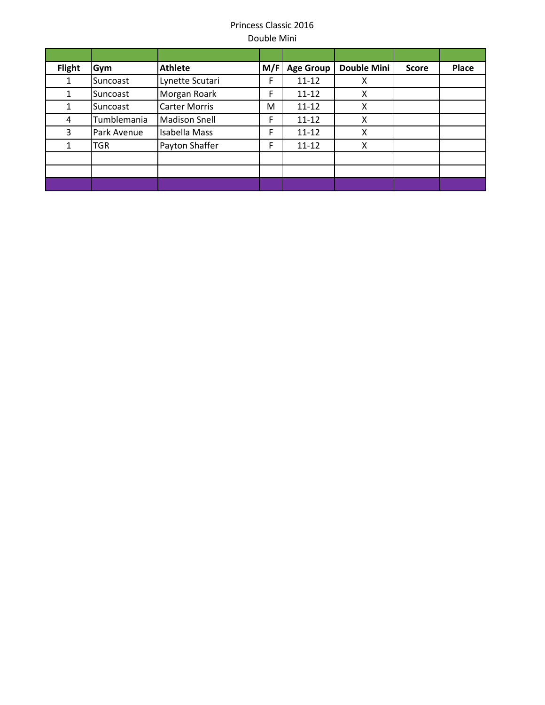| <b>Flight</b> | Gym         | <b>Athlete</b>       | M/F | <b>Age Group</b> | <b>Double Mini</b> | <b>Score</b> | Place |
|---------------|-------------|----------------------|-----|------------------|--------------------|--------------|-------|
|               | Suncoast    | Lynette Scutari      | F   | $11 - 12$        | x                  |              |       |
|               | Suncoast    | Morgan Roark         | F   | $11 - 12$        | X                  |              |       |
|               | Suncoast    | <b>Carter Morris</b> | M   | $11 - 12$        | X                  |              |       |
| 4             | Tumblemania | <b>Madison Snell</b> | F   | $11 - 12$        | X                  |              |       |
| 3.            | Park Avenue | Isabella Mass        | F   | $11 - 12$        | X                  |              |       |
|               | TGR         | Payton Shaffer       | F   | $11 - 12$        | X                  |              |       |
|               |             |                      |     |                  |                    |              |       |
|               |             |                      |     |                  |                    |              |       |
|               |             |                      |     |                  |                    |              |       |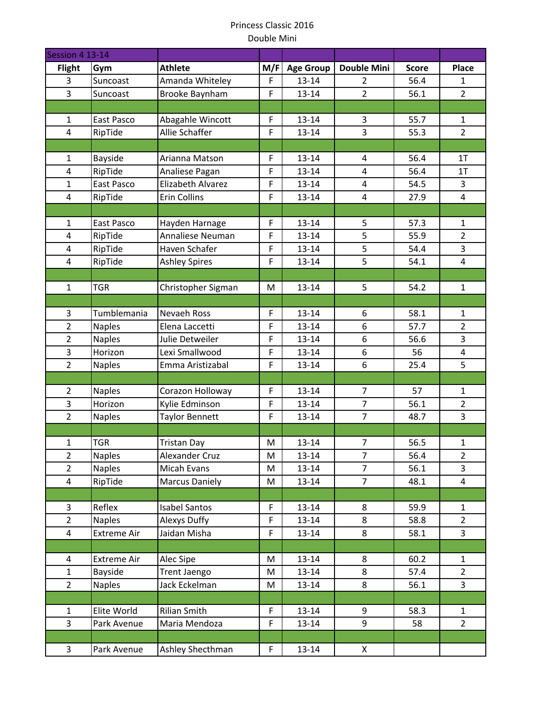| Session 4 13-14     |                          |                                         |                  |                    |                                  |              |                                |
|---------------------|--------------------------|-----------------------------------------|------------------|--------------------|----------------------------------|--------------|--------------------------------|
| <b>Flight</b>       | Gym                      | <b>Athlete</b>                          | M/F              | <b>Age Group</b>   | <b>Double Mini</b>               | <b>Score</b> | <b>Place</b>                   |
| 3                   | Suncoast                 | Amanda Whiteley                         | F                | $13 - 14$          | $\overline{2}$                   | 56.4         | $\mathbf{1}$                   |
| 3                   | Suncoast                 | Brooke Baynham                          | F                | $13 - 14$          | $\overline{2}$                   | 56.1         | $\overline{2}$                 |
|                     |                          |                                         |                  |                    |                                  |              |                                |
| $\mathbf{1}$        | East Pasco               | Abagahle Wincott                        | F                | 13-14              | 3                                | 55.7         | $\mathbf{1}$                   |
| $\overline{4}$      | RipTide                  | Allie Schaffer                          | F                | $13 - 14$          | 3                                | 55.3         | $\overline{2}$                 |
|                     |                          |                                         |                  |                    |                                  |              |                                |
| $\mathbf{1}$        | Bayside                  | Arianna Matson                          | $\mathsf F$      | 13-14              | 4                                | 56.4         | 1T                             |
| $\overline{4}$      | RipTide                  | Analiese Pagan                          | F                | $13 - 14$          | $\overline{\mathbf{4}}$          | 56.4         | 1T                             |
| $\mathbf{1}$        | East Pasco               | Elizabeth Alvarez                       | F                | 13-14              | 4                                | 54.5         | 3                              |
| $\overline{4}$      | RipTide                  | <b>Erin Collins</b>                     | F                | $13 - 14$          | 4                                | 27.9         | $\overline{4}$                 |
|                     |                          |                                         |                  |                    |                                  |              |                                |
| $\mathbf{1}$        | East Pasco               | Hayden Harnage                          | $\mathsf F$      | $13 - 14$          | 5                                | 57.3         | $\mathbf{1}$                   |
| $\overline{4}$      | RipTide                  | Annaliese Neuman                        | F                | 13-14              | 5                                | 55.9         | $\overline{2}$                 |
| 4                   | RipTide                  | Haven Schafer                           | F                | 13-14              | 5                                | 54.4         | 3                              |
| $\overline{4}$      | RipTide                  | <b>Ashley Spires</b>                    | F                | $13 - 14$          | 5                                | 54.1         | $\overline{4}$                 |
|                     |                          |                                         |                  |                    |                                  |              |                                |
| $\mathbf{1}$        | <b>TGR</b>               | Christopher Sigman                      | M                | $13 - 14$          | 5                                | 54.2         | $\mathbf{1}$                   |
|                     |                          |                                         |                  |                    |                                  |              |                                |
| 3                   | Tumblemania              | Nevaeh Ross                             | $\mathsf F$      | $13 - 14$          | 6                                | 58.1         | $\mathbf{1}$                   |
| $\overline{2}$      | <b>Naples</b>            | Elena Laccetti                          | F                | $13 - 14$          | 6                                | 57.7         | $\overline{2}$                 |
| $\overline{2}$      | <b>Naples</b>            | Julie Detweiler                         | F                | $13 - 14$          | 6                                | 56.6         | 3                              |
| 3                   | Horizon                  | Lexi Smallwood                          | F                | $13 - 14$          | 6                                | 56           | $\pmb{4}$                      |
| $\overline{2}$      | <b>Naples</b>            | Emma Aristizabal                        | F                | $13 - 14$          | 6                                | 25.4         | 5                              |
|                     |                          |                                         |                  |                    |                                  |              |                                |
| $\overline{2}$<br>3 | <b>Naples</b><br>Horizon | Corazon Holloway                        | F<br>$\mathsf F$ | $13 - 14$          | $\overline{7}$<br>$\overline{7}$ | 57           | $\mathbf{1}$<br>$\overline{2}$ |
| $\overline{2}$      |                          | Kylie Edminson<br><b>Taylor Bennett</b> | F                | $13 - 14$<br>13-14 | $\overline{7}$                   | 56.1<br>48.7 | $\overline{3}$                 |
|                     | <b>Naples</b>            |                                         |                  |                    |                                  |              |                                |
| $\mathbf{1}$        | <b>TGR</b>               | <b>Tristan Day</b>                      | M                | $13 - 14$          | $\overline{7}$                   | 56.5         | $\mathbf{1}$                   |
| $\overline{2}$      | <b>Naples</b>            | Alexander Cruz                          | M                | $13 - 14$          | $\overline{7}$                   | 56.4         | $\overline{2}$                 |
| $\overline{2}$      | <b>Naples</b>            | <b>Micah Evans</b>                      | M                | $13 - 14$          | $\overline{7}$                   | 56.1         | $\overline{3}$                 |
| $\overline{4}$      | RipTide                  | <b>Marcus Daniely</b>                   | M                | $13 - 14$          | $\overline{7}$                   | 48.1         | $\overline{4}$                 |
|                     |                          |                                         |                  |                    |                                  |              |                                |
| 3                   | Reflex                   | <b>Isabel Santos</b>                    | $\mathsf F$      | $13 - 14$          | 8                                | 59.9         | $\mathbf{1}$                   |
| $\overline{2}$      | <b>Naples</b>            | Alexys Duffy                            | F                | $13 - 14$          | 8                                | 58.8         | $\overline{2}$                 |
| 4                   | <b>Extreme Air</b>       | Jaidan Misha                            | F                | $13 - 14$          | 8                                | 58.1         | $\overline{3}$                 |
|                     |                          |                                         |                  |                    |                                  |              |                                |
| 4                   | <b>Extreme Air</b>       | Alec Sipe                               | M                | $13 - 14$          | 8                                | 60.2         | $\mathbf{1}$                   |
| $\mathbf{1}$        | Bayside                  | Trent Jaengo                            | M                | $13 - 14$          | 8                                | 57.4         | $\overline{2}$                 |
| $\overline{2}$      | <b>Naples</b>            | Jack Eckelman                           | M                | $13 - 14$          | 8                                | 56.1         | $\overline{3}$                 |
|                     |                          |                                         |                  |                    |                                  |              |                                |
| $\mathbf{1}$        | Elite World              | <b>Rilian Smith</b>                     | F                | $13 - 14$          | 9                                | 58.3         | $\mathbf{1}$                   |
| $\overline{3}$      | Park Avenue              | Maria Mendoza                           | $\mathsf F$      | $13 - 14$          | 9                                | 58           | $\overline{2}$                 |
|                     |                          |                                         |                  |                    |                                  |              |                                |
| 3                   | Park Avenue              | Ashley Shecthman                        | $\mathsf F$      | $13 - 14$          | X                                |              |                                |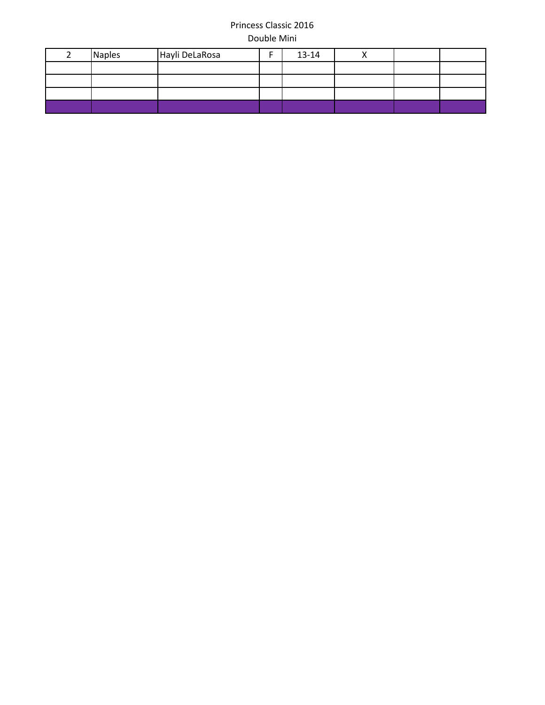| <b>Naples</b> | Hayli DeLaRosa | 13-14 |  |  |
|---------------|----------------|-------|--|--|
|               |                |       |  |  |
|               |                |       |  |  |
|               |                |       |  |  |
|               |                |       |  |  |